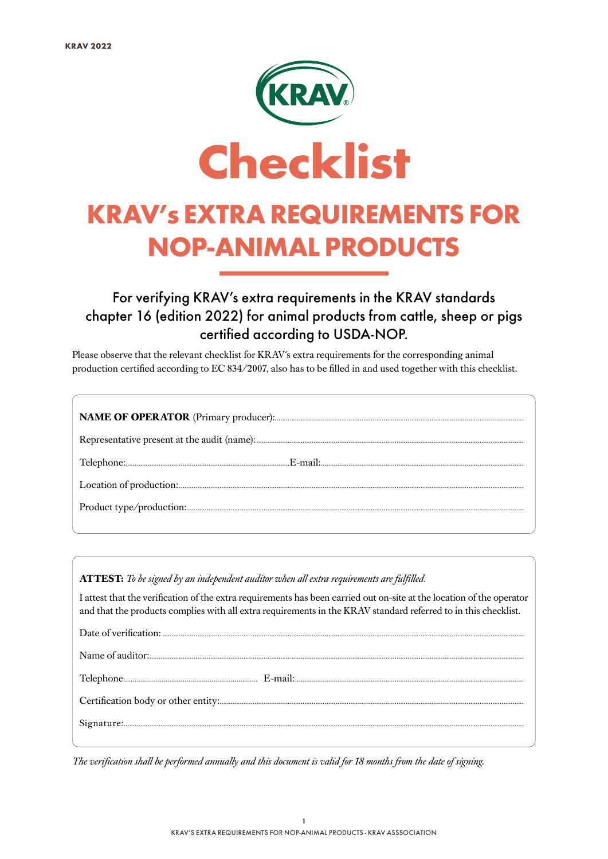

#### For verifying KRAV's extra requirements in the KRAV standards chapter 16 (edition 2022) for animal products from cattle, sheep or pigs certified according to USDA-NOP.

Please observe that the relevant checklist for KRAV´s extra requirements for the corresponding animal production certified according to EC 834/2007, also has to be filled in and used together with this checklist.

**ATTEST:** *To be signed by an independent auditor when all extra requirements are fulfilled.*

I attest that the verification of the extra requirements has been carried out on-site at the location of the operator and that the products complies with all extra requirements in the KRAV standard referred to in this checklist.

*The verification shall be performed annually and this document is valid for 18 months from the date of signing*.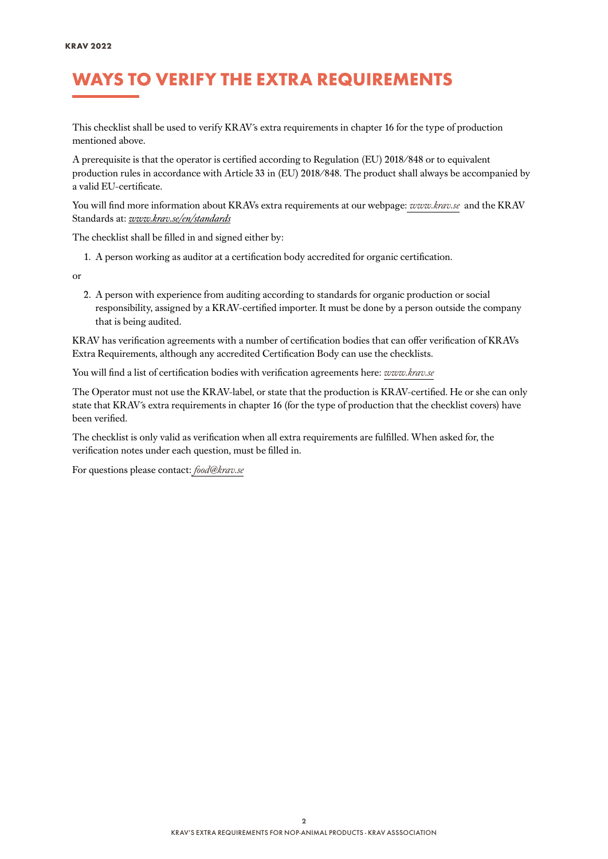### WAYS TO VERIFY THE EXTRA REQUIREMENTS

This checklist shall be used to verify KRAV´s extra requirements in chapter 16 for the type of production mentioned above.

A prerequisite is that the operator is certified according to Regulation (EU) 2018/848 or to equivalent production rules in accordance with Article 33 in (EU) 2018/848. The product shall always be accompanied by a valid EU-certificate.

You will find more information about KRAVs extra requirements at our webpage: *[www.krav.se](www.krav.se/en/for-companies/extra-requirements-for-all-products/)* and the KRAV Standards at: *[www.krav.se/en/standards](https://www.krav.se/en/standards)*

The checklist shall be filled in and signed either by:

1. A person working as auditor at a certification body accredited for organic certification.

or

2. A person with experience from auditing according to standards for organic production or social responsibility, assigned by a KRAV-certified importer. It must be done by a person outside the company that is being audited.

KRAV has verification agreements with a number of certification bodies that can offer verification of KRAVs Extra Requirements, although any accredited Certification Body can use the checklists.

You will find a list of certification bodies with verification agreements here: *[www.krav.se](https://www.krav.se/en/asset/certification-bodies-with-verification-agreement/)*

The Operator must not use the KRAV-label, or state that the production is KRAV-certified. He or she can only state that KRAV´s extra requirements in chapter 16 (for the type of production that the checklist covers) have been verified.

The checklist is only valid as verification when all extra requirements are fulfilled. When asked for, the verification notes under each question, must be filled in.

For questions please contact: *[food@krav.se](mailto:food%40krav.se?subject=From%20extra%20requirements)*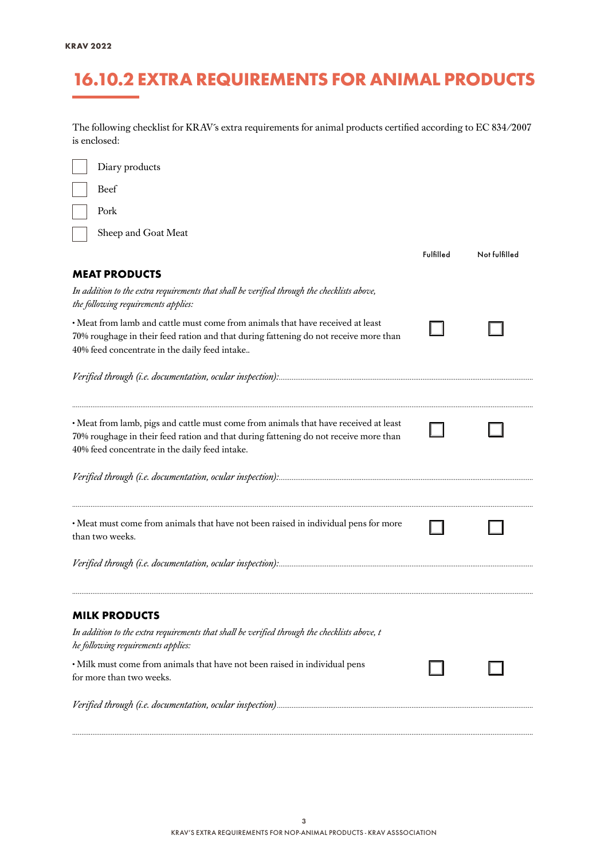### 16.10.2 EXTRA REQUIREMENTS FOR ANIMAL PRODUCTS

The following checklist for KRAV´s extra requirements for animal products certified according to EC 834/2007 is enclosed:

| Diary products                                                                                                                                                                                                                 |           |               |
|--------------------------------------------------------------------------------------------------------------------------------------------------------------------------------------------------------------------------------|-----------|---------------|
| Beef                                                                                                                                                                                                                           |           |               |
| Pork                                                                                                                                                                                                                           |           |               |
| Sheep and Goat Meat                                                                                                                                                                                                            |           |               |
|                                                                                                                                                                                                                                | Fulfilled | Not fulfilled |
| <b>MEAT PRODUCTS</b>                                                                                                                                                                                                           |           |               |
| In addition to the extra requirements that shall be verified through the checklists above,<br>the following requirements applies:                                                                                              |           |               |
| · Meat from lamb and cattle must come from animals that have received at least<br>70% roughage in their feed ration and that during fattening do not receive more than<br>40% feed concentrate in the daily feed intake        |           |               |
|                                                                                                                                                                                                                                |           |               |
|                                                                                                                                                                                                                                |           |               |
| • Meat from lamb, pigs and cattle must come from animals that have received at least<br>70% roughage in their feed ration and that during fattening do not receive more than<br>40% feed concentrate in the daily feed intake. |           |               |
|                                                                                                                                                                                                                                |           |               |
| · Meat must come from animals that have not been raised in individual pens for more<br>than two weeks.                                                                                                                         |           |               |
|                                                                                                                                                                                                                                |           |               |
| <b>MILK PRODUCTS</b>                                                                                                                                                                                                           |           |               |
| In addition to the extra requirements that shall be verified through the checklists above, t<br>he following requirements applies:                                                                                             |           |               |
| · Milk must come from animals that have not been raised in individual pens<br>for more than two weeks.                                                                                                                         |           |               |
|                                                                                                                                                                                                                                |           |               |
|                                                                                                                                                                                                                                |           |               |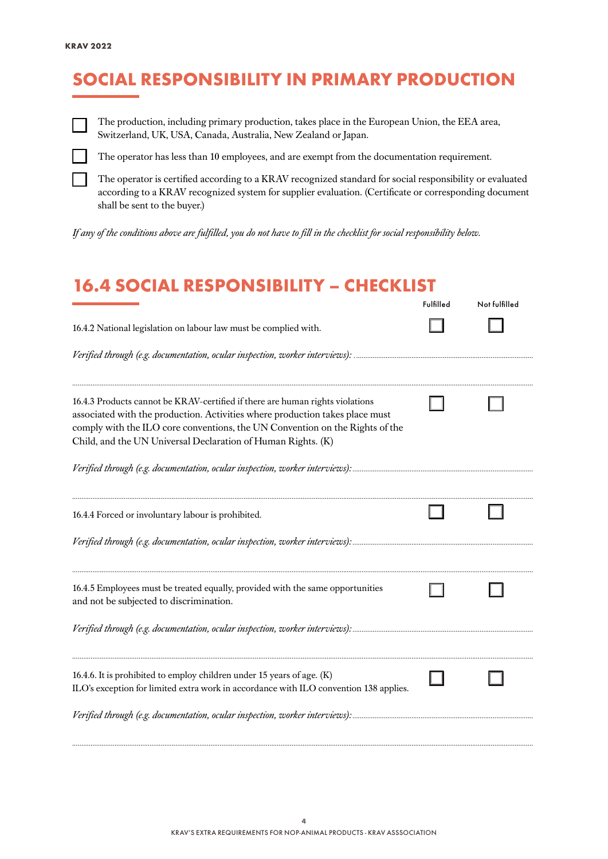## SOCIAL RESPONSIBILITY IN PRIMARY PRODUCTION



The production, including primary production, takes place in the European Union, the EEA area, Switzerland, UK, USA, Canada, Australia, New Zealand or Japan.



The operator has less than 10 employees, and are exempt from the documentation requirement.

The operator is certified according to a KRAV recognized standard for social responsibility or evaluated according to a KRAV recognized system for supplier evaluation. (Certificate or corresponding document shall be sent to the buyer.)

*If any of the conditions above are fulfilled, you do not have to fill in the checklist for social responsibility below.*

#### 16.4 SOCIAL RESPONSIBILITY – CHECKLIST

|                                                                                                                                                                                                                                                                                                               | Fulfilled | Not fulfilled |
|---------------------------------------------------------------------------------------------------------------------------------------------------------------------------------------------------------------------------------------------------------------------------------------------------------------|-----------|---------------|
| 16.4.2 National legislation on labour law must be complied with.                                                                                                                                                                                                                                              |           |               |
|                                                                                                                                                                                                                                                                                                               |           |               |
| 16.4.3 Products cannot be KRAV-certified if there are human rights violations<br>associated with the production. Activities where production takes place must<br>comply with the ILO core conventions, the UN Convention on the Rights of the<br>Child, and the UN Universal Declaration of Human Rights. (K) |           |               |
|                                                                                                                                                                                                                                                                                                               |           |               |
| 16.4.4 Forced or involuntary labour is prohibited.                                                                                                                                                                                                                                                            |           |               |
| 16.4.5 Employees must be treated equally, provided with the same opportunities<br>and not be subjected to discrimination.                                                                                                                                                                                     |           |               |
| Verified through (e.g. documentation, ocular inspection, worker interviews): …………………………………………………………                                                                                                                                                                                                           |           |               |
| 16.4.6. It is prohibited to employ children under 15 years of age. (K)<br>ILO's exception for limited extra work in accordance with ILO convention 138 applies.<br>Verified through (e.g. documentation, ocular inspection, worker interviews):                                                               |           |               |
|                                                                                                                                                                                                                                                                                                               |           |               |

*..........................................................................................................................................................................................................................................................*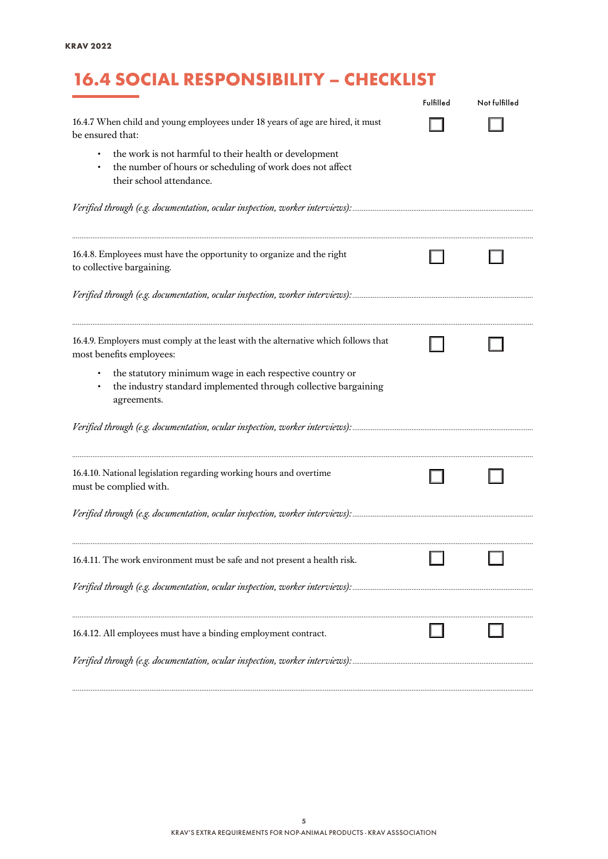# 16.4 SOCIAL RESPONSIBILITY – CHECKLIST

|                                                                                                                                                 | Fulfilled | Not fulfilled |
|-------------------------------------------------------------------------------------------------------------------------------------------------|-----------|---------------|
| 16.4.7 When child and young employees under 18 years of age are hired, it must<br>be ensured that:                                              |           |               |
| the work is not harmful to their health or development<br>the number of hours or scheduling of work does not affect<br>their school attendance. |           |               |
|                                                                                                                                                 |           |               |
| 16.4.8. Employees must have the opportunity to organize and the right<br>to collective bargaining.                                              |           |               |
|                                                                                                                                                 |           |               |
| 16.4.9. Employers must comply at the least with the alternative which follows that<br>most benefits employees:                                  |           |               |
| the statutory minimum wage in each respective country or<br>the industry standard implemented through collective bargaining<br>agreements.      |           |               |
|                                                                                                                                                 |           |               |
| 16.4.10. National legislation regarding working hours and overtime<br>must be complied with.                                                    |           |               |
|                                                                                                                                                 |           |               |
| 16.4.11. The work environment must be safe and not present a health risk.                                                                       |           |               |
|                                                                                                                                                 |           |               |
| 16.4.12. All employees must have a binding employment contract.                                                                                 |           |               |
|                                                                                                                                                 |           |               |

*..........................................................................................................................................................................................................................................................*